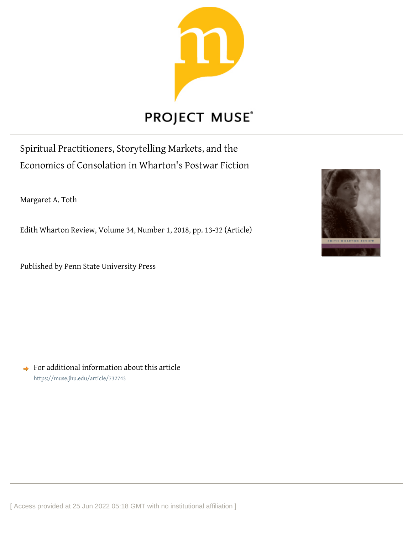

# **PROJECT MUSE®**

Spiritual Practitioners, Storytelling Markets, and the Economics of Consolation in Wharton's Postwar Fiction

Margaret A. Toth

Edith Wharton Review, Volume 34, Number 1, 2018, pp. 13-32 (Article)

Published by Penn State University Press



 $\rightarrow$  For additional information about this article <https://muse.jhu.edu/article/732743>

[ Access provided at 25 Jun 2022 05:18 GMT with no institutional affiliation ]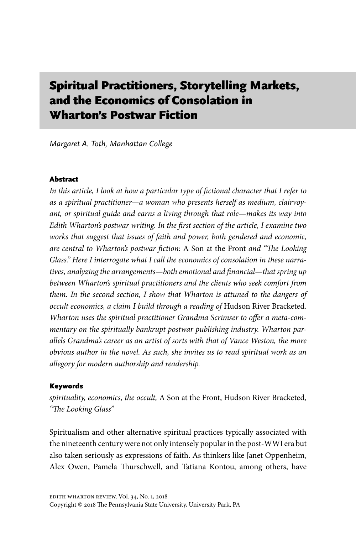# Spiritual Practitioners, Storytelling Markets, and the Economics of Consolation in Wharton's Postwar Fiction

Margaret A. Toth, Manhattan College

# Abstract

*In this article, I look at how a particular type of fictional character that I refer to as a spiritual practitioner—a woman who presents herself as medium, clairvoyant, or spiritual guide and earns a living through that role—makes its way into Edith Wharton's postwar writing. In the first section of the article, I examine two works that suggest that issues of faith and power, both gendered and economic, are central to Wharton's postwar fiction:* A Son at the Front *and "The Looking Glass." Here I interrogate what I call the economics of consolation in these narratives, analyzing the arrangements—both emotional and financial—that spring up between Wharton's spiritual practitioners and the clients who seek comfort from them. In the second section, I show that Wharton is attuned to the dangers of occult economics, a claim I build through a reading of* Hudson River Bracketed*. Wharton uses the spiritual practitioner Grandma Scrimser to offer a meta-commentary on the spiritually bankrupt postwar publishing industry. Wharton parallels Grandma's career as an artist of sorts with that of Vance Weston, the more obvious author in the novel. As such, she invites us to read spiritual work as an allegory for modern authorship and readership.*

# Keywords

*spirituality, economics, the occult,* A Son at the Front, Hudson River Bracketed*, "The Looking Glass"*

Spiritualism and other alternative spiritual practices typically associated with the nineteenth century were not only intensely popular in the post-WWI era but also taken seriously as expressions of faith. As thinkers like Janet Oppenheim, Alex Owen, Pamela Thurschwell, and Tatiana Kontou, among others, have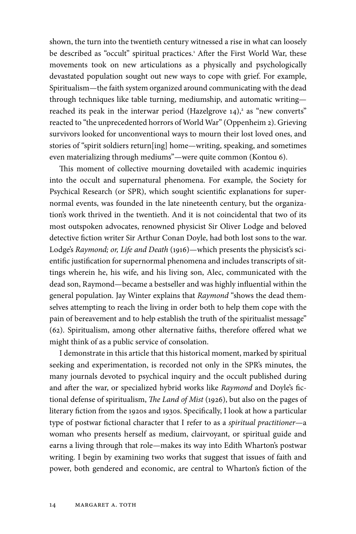shown, the turn into the twentieth century witnessed a rise in what can loosely be described as "occult" spiritual practices.<sup>1</sup> After the First World War, these movements took on new articulations as a physically and psychologically devastated population sought out new ways to cope with grief. For example, Spiritualism—the faith system organized around communicating with the dead through techniques like table turning, mediumship, and automatic writing reached its peak in the interwar period (Hazelgrove  $14$ ),<sup>2</sup> as "new converts" reacted to "the unprecedented horrors of World War" (Oppenheim 2). Grieving survivors looked for unconventional ways to mourn their lost loved ones, and stories of "spirit soldiers return[ing] home—writing, speaking, and sometimes even materializing through mediums"—were quite common (Kontou 6).

This moment of collective mourning dovetailed with academic inquiries into the occult and supernatural phenomena. For example, the Society for Psychical Research (or SPR), which sought scientific explanations for supernormal events, was founded in the late nineteenth century, but the organization's work thrived in the twentieth. And it is not coincidental that two of its most outspoken advocates, renowned physicist Sir Oliver Lodge and beloved detective fiction writer Sir Arthur Conan Doyle, had both lost sons to the war. Lodge's *Raymond; or, Life and Death* (1916)—which presents the physicist's scientific justification for supernormal phenomena and includes transcripts of sittings wherein he, his wife, and his living son, Alec, communicated with the dead son, Raymond—became a bestseller and was highly influential within the general population. Jay Winter explains that *Raymond* "shows the dead themselves attempting to reach the living in order both to help them cope with the pain of bereavement and to help establish the truth of the spiritualist message" (62). Spiritualism, among other alternative faiths, therefore offered what we might think of as a public service of consolation.

I demonstrate in this article that this historical moment, marked by spiritual seeking and experimentation, is recorded not only in the SPR's minutes, the many journals devoted to psychical inquiry and the occult published during and after the war, or specialized hybrid works like *Raymond* and Doyle's fictional defense of spiritualism, *The Land of Mist* (1926), but also on the pages of literary fiction from the 1920s and 1930s. Specifically, I look at how a particular type of postwar fictional character that I refer to as a *spiritual practitioner*—a woman who presents herself as medium, clairvoyant, or spiritual guide and earns a living through that role—makes its way into Edith Wharton's postwar writing. I begin by examining two works that suggest that issues of faith and power, both gendered and economic, are central to Wharton's fiction of the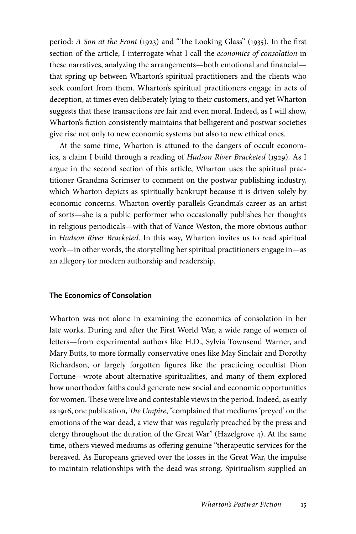period: *A Son at the Front* (1923) and "The Looking Glass" (1935). In the first section of the article, I interrogate what I call the *economics of consolation* in these narratives, analyzing the arrangements—both emotional and financial that spring up between Wharton's spiritual practitioners and the clients who seek comfort from them. Wharton's spiritual practitioners engage in acts of deception, at times even deliberately lying to their customers, and yet Wharton suggests that these transactions are fair and even moral. Indeed, as I will show, Wharton's fiction consistently maintains that belligerent and postwar societies give rise not only to new economic systems but also to new ethical ones.

At the same time, Wharton is attuned to the dangers of occult economics, a claim I build through a reading of *Hudson River Bracketed* (1929). As I argue in the second section of this article, Wharton uses the spiritual practitioner Grandma Scrimser to comment on the postwar publishing industry, which Wharton depicts as spiritually bankrupt because it is driven solely by economic concerns. Wharton overtly parallels Grandma's career as an artist of sorts—she is a public performer who occasionally publishes her thoughts in religious periodicals—with that of Vance Weston, the more obvious author in *Hudson River Bracketed*. In this way, Wharton invites us to read spiritual work—in other words, the storytelling her spiritual practitioners engage in—as an allegory for modern authorship and readership.

# The Economics of Consolation

Wharton was not alone in examining the economics of consolation in her late works. During and after the First World War, a wide range of women of letters—from experimental authors like H.D., Sylvia Townsend Warner, and Mary Butts, to more formally conservative ones like May Sinclair and Dorothy Richardson, or largely forgotten figures like the practicing occultist Dion Fortune—wrote about alternative spiritualities, and many of them explored how unorthodox faiths could generate new social and economic opportunities for women. These were live and contestable views in the period. Indeed, as early as 1916, one publication, *The Umpire*, "complained that mediums 'preyed' on the emotions of the war dead, a view that was regularly preached by the press and clergy throughout the duration of the Great War" (Hazelgrove 4). At the same time, others viewed mediums as offering genuine "therapeutic services for the bereaved. As Europeans grieved over the losses in the Great War, the impulse to maintain relationships with the dead was strong. Spiritualism supplied an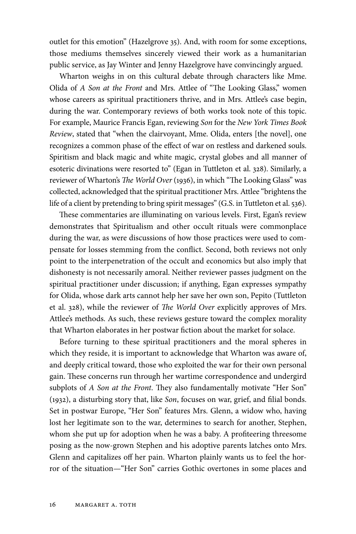outlet for this emotion" (Hazelgrove 35). And, with room for some exceptions, those mediums themselves sincerely viewed their work as a humanitarian public service, as Jay Winter and Jenny Hazelgrove have convincingly argued.

Wharton weighs in on this cultural debate through characters like Mme. Olida of *A Son at the Front* and Mrs. Attlee of "The Looking Glass," women whose careers as spiritual practitioners thrive, and in Mrs. Attlee's case begin, during the war. Contemporary reviews of both works took note of this topic. For example, Maurice Francis Egan, reviewing *Son* for the *New York Times Book Review*, stated that "when the clairvoyant, Mme. Olida, enters [the novel], one recognizes a common phase of the effect of war on restless and darkened souls. Spiritism and black magic and white magic, crystal globes and all manner of esoteric divinations were resorted to" (Egan in Tuttleton et al. 328). Similarly, a reviewer of Wharton's *The World Over* (1936), in which "The Looking Glass" was collected, acknowledged that the spiritual practitioner Mrs. Attlee "brightens the life of a client by pretending to bring spirit messages" (G.S. in Tuttleton et al. 536).

These commentaries are illuminating on various levels. First, Egan's review demonstrates that Spiritualism and other occult rituals were commonplace during the war, as were discussions of how those practices were used to compensate for losses stemming from the conflict. Second, both reviews not only point to the interpenetration of the occult and economics but also imply that dishonesty is not necessarily amoral. Neither reviewer passes judgment on the spiritual practitioner under discussion; if anything, Egan expresses sympathy for Olida, whose dark arts cannot help her save her own son, Pepito (Tuttleton et al. 328), while the reviewer of *The World Over* explicitly approves of Mrs. Attlee's methods. As such, these reviews gesture toward the complex morality that Wharton elaborates in her postwar fiction about the market for solace.

Before turning to these spiritual practitioners and the moral spheres in which they reside, it is important to acknowledge that Wharton was aware of, and deeply critical toward, those who exploited the war for their own personal gain. These concerns run through her wartime correspondence and undergird subplots of *A Son at the Front*. They also fundamentally motivate "Her Son" (1932), a disturbing story that, like *Son*, focuses on war, grief, and filial bonds. Set in postwar Europe, "Her Son" features Mrs. Glenn, a widow who, having lost her legitimate son to the war, determines to search for another, Stephen, whom she put up for adoption when he was a baby. A profiteering threesome posing as the now-grown Stephen and his adoptive parents latches onto Mrs. Glenn and capitalizes off her pain. Wharton plainly wants us to feel the horror of the situation—"Her Son" carries Gothic overtones in some places and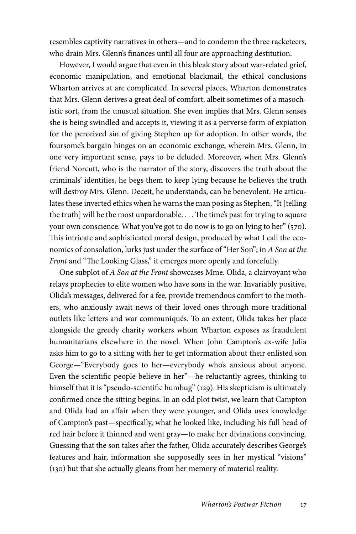resembles captivity narratives in others—and to condemn the three racketeers, who drain Mrs. Glenn's finances until all four are approaching destitution.

However, I would argue that even in this bleak story about war-related grief, economic manipulation, and emotional blackmail, the ethical conclusions Wharton arrives at are complicated. In several places, Wharton demonstrates that Mrs. Glenn derives a great deal of comfort, albeit sometimes of a masochistic sort, from the unusual situation. She even implies that Mrs. Glenn senses she is being swindled and accepts it, viewing it as a perverse form of expiation for the perceived sin of giving Stephen up for adoption. In other words, the foursome's bargain hinges on an economic exchange, wherein Mrs. Glenn, in one very important sense, pays to be deluded. Moreover, when Mrs. Glenn's friend Norcutt, who is the narrator of the story, discovers the truth about the criminals' identities, he begs them to keep lying because he believes the truth will destroy Mrs. Glenn. Deceit, he understands, can be benevolent. He articulates these inverted ethics when he warns the man posing as Stephen, "It [telling the truth] will be the most unpardonable. . . . The time's past for trying to square your own conscience. What you've got to do now is to go on lying to her" (570). This intricate and sophisticated moral design, produced by what I call the economics of consolation, lurks just under the surface of "Her Son"; in *A Son at the Front* and "The Looking Glass," it emerges more openly and forcefully.

One subplot of *A Son at the Front* showcases Mme. Olida, a clairvoyant who relays prophecies to elite women who have sons in the war. Invariably positive, Olida's messages, delivered for a fee, provide tremendous comfort to the mothers, who anxiously await news of their loved ones through more traditional outlets like letters and war communiqués. To an extent, Olida takes her place alongside the greedy charity workers whom Wharton exposes as fraudulent humanitarians elsewhere in the novel. When John Campton's ex-wife Julia asks him to go to a sitting with her to get information about their enlisted son George—"Everybody goes to her—everybody who's anxious about anyone. Even the scientific people believe in her"—he reluctantly agrees, thinking to himself that it is "pseudo-scientific humbug" (129). His skepticism is ultimately confirmed once the sitting begins. In an odd plot twist, we learn that Campton and Olida had an affair when they were younger, and Olida uses knowledge of Campton's past—specifically, what he looked like, including his full head of red hair before it thinned and went gray—to make her divinations convincing. Guessing that the son takes after the father, Olida accurately describes George's features and hair, information she supposedly sees in her mystical "visions" (130) but that she actually gleans from her memory of material reality.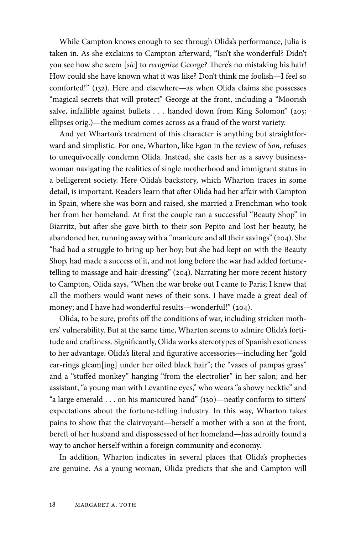While Campton knows enough to see through Olida's performance, Julia is taken in. As she exclaims to Campton afterward, "Isn't she wonderful? Didn't you see how she seem [*sic*] to *recognize* George? There's no mistaking his hair! How could she have known what it was like? Don't think me foolish—I feel so comforted!" (132). Here and elsewhere—as when Olida claims she possesses "magical secrets that will protect" George at the front, including a "Moorish salve, infallible against bullets . . . handed down from King Solomon" (205; ellipses orig.)—the medium comes across as a fraud of the worst variety.

And yet Wharton's treatment of this character is anything but straightforward and simplistic. For one, Wharton, like Egan in the review of *Son*, refuses to unequivocally condemn Olida. Instead, she casts her as a savvy businesswoman navigating the realities of single motherhood and immigrant status in a belligerent society. Here Olida's backstory, which Wharton traces in some detail, is important. Readers learn that after Olida had her affair with Campton in Spain, where she was born and raised, she married a Frenchman who took her from her homeland. At first the couple ran a successful "Beauty Shop" in Biarritz, but after she gave birth to their son Pepito and lost her beauty, he abandoned her, running away with a "manicure and all their savings" (204). She "had had a struggle to bring up her boy; but she had kept on with the Beauty Shop, had made a success of it, and not long before the war had added fortunetelling to massage and hair-dressing" (204). Narrating her more recent history to Campton, Olida says, "When the war broke out I came to Paris; I knew that all the mothers would want news of their sons. I have made a great deal of money; and I have had wonderful results—wonderful!" (204).

Olida, to be sure, profits off the conditions of war, including stricken mothers' vulnerability. But at the same time, Wharton seems to admire Olida's fortitude and craftiness. Significantly, Olida works stereotypes of Spanish exoticness to her advantage. Olida's literal and figurative accessories—including her "gold ear-rings gleam[ing] under her oiled black hair"; the "vases of pampas grass" and a "stuffed monkey" hanging "from the electrolier" in her salon; and her assistant, "a young man with Levantine eyes," who wears "a showy necktie" and "a large emerald . . . on his manicured hand" (130)—neatly conform to sitters' expectations about the fortune-telling industry. In this way, Wharton takes pains to show that the clairvoyant—herself a mother with a son at the front, bereft of her husband and dispossessed of her homeland—has adroitly found a way to anchor herself within a foreign community and economy.

In addition, Wharton indicates in several places that Olida's prophecies are genuine. As a young woman, Olida predicts that she and Campton will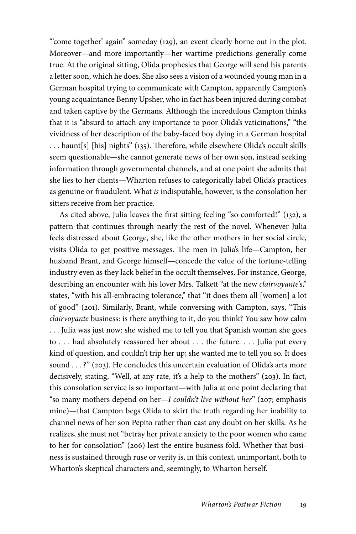"'come together' again" someday (129), an event clearly borne out in the plot. Moreover—and more importantly—her wartime predictions generally come true. At the original sitting, Olida prophesies that George will send his parents a letter soon, which he does. She also sees a vision of a wounded young man in a German hospital trying to communicate with Campton, apparently Campton's young acquaintance Benny Upsher, who in fact has been injured during combat and taken captive by the Germans. Although the incredulous Campton thinks that it is "absurd to attach any importance to poor Olida's vaticinations," "the vividness of her description of the baby-faced boy dying in a German hospital . . . haunt[s] [his] nights" (135). Therefore, while elsewhere Olida's occult skills seem questionable—she cannot generate news of her own son, instead seeking information through governmental channels, and at one point she admits that she lies to her clients—Wharton refuses to categorically label Olida's practices as genuine or fraudulent. What *is* indisputable, however, is the consolation her sitters receive from her practice.

As cited above, Julia leaves the first sitting feeling "so comforted!" (132), a pattern that continues through nearly the rest of the novel. Whenever Julia feels distressed about George, she, like the other mothers in her social circle, visits Olida to get positive messages. The men in Julia's life—Campton, her husband Brant, and George himself—concede the value of the fortune-telling industry even as they lack belief in the occult themselves. For instance, George, describing an encounter with his lover Mrs. Talkett "at the new *clairvoyante*'s," states, "with his all-embracing tolerance," that "it does them all [women] a lot of good" (201). Similarly, Brant, while conversing with Campton, says, "This *clairvoyante* business: is there anything to it, do you think? You saw how calm . . . Julia was just now: she wished me to tell you that Spanish woman she goes to . . . had absolutely reassured her about . . . the future. . . . Julia put every kind of question, and couldn't trip her up; she wanted me to tell you so. It does sound . . . ?" (203). He concludes this uncertain evaluation of Olida's arts more decisively, stating, "Well, at any rate, it's a help to the mothers" (203). In fact, this consolation service is so important—with Julia at one point declaring that "so many mothers depend on her—*I couldn't live without her*" (207; emphasis mine)—that Campton begs Olida to skirt the truth regarding her inability to channel news of her son Pepito rather than cast any doubt on her skills. As he realizes, she must not "betray her private anxiety to the poor women who came to her for consolation" (206) lest the entire business fold. Whether that business is sustained through ruse or verity is, in this context, unimportant, both to Wharton's skeptical characters and, seemingly, to Wharton herself.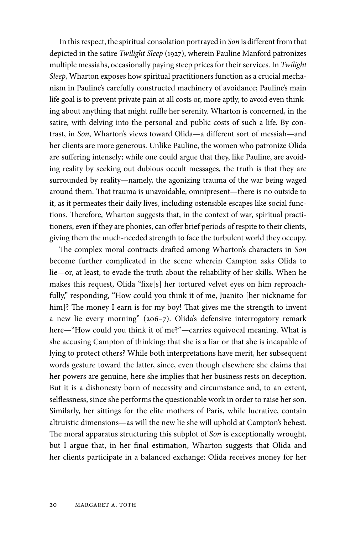In this respect, the spiritual consolation portrayed in *Son* is different from that depicted in the satire *Twilight Sleep* (1927), wherein Pauline Manford patronizes multiple messiahs, occasionally paying steep prices for their services. In *Twilight Sleep*, Wharton exposes how spiritual practitioners function as a crucial mechanism in Pauline's carefully constructed machinery of avoidance; Pauline's main life goal is to prevent private pain at all costs or, more aptly, to avoid even thinking about anything that might ruffle her serenity. Wharton is concerned, in the satire, with delving into the personal and public costs of such a life. By contrast, in *Son*, Wharton's views toward Olida—a different sort of messiah—and her clients are more generous. Unlike Pauline, the women who patronize Olida are suffering intensely; while one could argue that they, like Pauline, are avoiding reality by seeking out dubious occult messages, the truth is that they are surrounded by reality—namely, the agonizing trauma of the war being waged around them. That trauma is unavoidable, omnipresent—there is no outside to it, as it permeates their daily lives, including ostensible escapes like social functions. Therefore, Wharton suggests that, in the context of war, spiritual practitioners, even if they are phonies, can offer brief periods of respite to their clients, giving them the much-needed strength to face the turbulent world they occupy.

The complex moral contracts drafted among Wharton's characters in *Son* become further complicated in the scene wherein Campton asks Olida to lie—or, at least, to evade the truth about the reliability of her skills. When he makes this request, Olida "fixe[s] her tortured velvet eyes on him reproachfully," responding, "How could you think it of me, Juanito [her nickname for him]? The money I earn is for my boy! That gives me the strength to invent a new lie every morning" (206–7). Olida's defensive interrogatory remark here—"How could you think it of me?"—carries equivocal meaning. What is she accusing Campton of thinking: that she is a liar or that she is incapable of lying to protect others? While both interpretations have merit, her subsequent words gesture toward the latter, since, even though elsewhere she claims that her powers are genuine, here she implies that her business rests on deception. But it is a dishonesty born of necessity and circumstance and, to an extent, selflessness, since she performs the questionable work in order to raise her son. Similarly, her sittings for the elite mothers of Paris, while lucrative, contain altruistic dimensions—as will the new lie she will uphold at Campton's behest. The moral apparatus structuring this subplot of *Son* is exceptionally wrought, but I argue that, in her final estimation, Wharton suggests that Olida and her clients participate in a balanced exchange: Olida receives money for her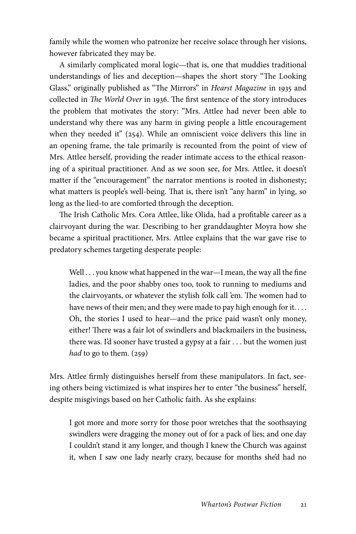family while the women who patronize her receive solace through her visions, however fabricated they may be.

A similarly complicated moral logic—that is, one that muddies traditional understandings of lies and deception—shapes the short story "The Looking Glass," originally published as "The Mirrors" in *Hearst Magazine* in 1935 and collected in *The World Over* in 1936. The first sentence of the story introduces the problem that motivates the story: "Mrs. Attlee had never been able to understand why there was any harm in giving people a little encouragement when they needed it" (254). While an omniscient voice delivers this line in an opening frame, the tale primarily is recounted from the point of view of Mrs. Attlee herself, providing the reader intimate access to the ethical reasoning of a spiritual practitioner. And as we soon see, for Mrs. Attlee, it doesn't matter if the "encouragement" the narrator mentions is rooted in dishonesty; what matters is people's well-being. That is, there isn't "any harm" in lying, so long as the lied-to are comforted through the deception.

The Irish Catholic Mrs. Cora Attlee, like Olida, had a profitable career as a clairvoyant during the war. Describing to her granddaughter Moyra how she became a spiritual practitioner, Mrs. Attlee explains that the war gave rise to predatory schemes targeting desperate people:

Well . . . you know what happened in the war—I mean, the way all the fine ladies, and the poor shabby ones too, took to running to mediums and the clairvoyants, or whatever the stylish folk call 'em. The women had to have news of their men; and they were made to pay high enough for it.... Oh, the stories I used to hear—and the price paid wasn't only money, either! There was a fair lot of swindlers and blackmailers in the business, there was. I'd sooner have trusted a gypsy at a fair . . . but the women just *had* to go to them. (259)

Mrs. Attlee firmly distinguishes herself from these manipulators. In fact, seeing others being victimized is what inspires her to enter "the business" herself, despite misgivings based on her Catholic faith. As she explains:

I got more and more sorry for those poor wretches that the soothsaying swindlers were dragging the money out of for a pack of lies; and one day I couldn't stand it any longer, and though I knew the Church was against it, when I saw one lady nearly crazy, because for months she'd had no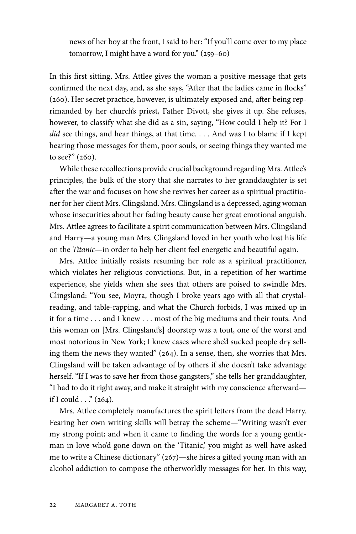news of her boy at the front, I said to her: "If you'll come over to my place tomorrow, I might have a word for you." (259–60)

In this first sitting, Mrs. Attlee gives the woman a positive message that gets confirmed the next day, and, as she says, "After that the ladies came in flocks" (260). Her secret practice, however, is ultimately exposed and, after being reprimanded by her church's priest, Father Divott, she gives it up. She refuses, however, to classify what she did as a sin, saying, "How could I help it? For I *did* see things, and hear things, at that time. . . . And was I to blame if I kept hearing those messages for them, poor souls, or seeing things they wanted me to see?" (260).

While these recollections provide crucial background regarding Mrs. Attlee's principles, the bulk of the story that she narrates to her granddaughter is set after the war and focuses on how she revives her career as a spiritual practitioner for her client Mrs. Clingsland. Mrs. Clingsland is a depressed, aging woman whose insecurities about her fading beauty cause her great emotional anguish. Mrs. Attlee agrees to facilitate a spirit communication between Mrs. Clingsland and Harry—a young man Mrs. Clingsland loved in her youth who lost his life on the *Titanic*—in order to help her client feel energetic and beautiful again.

Mrs. Attlee initially resists resuming her role as a spiritual practitioner, which violates her religious convictions. But, in a repetition of her wartime experience, she yields when she sees that others are poised to swindle Mrs. Clingsland: "You see, Moyra, though I broke years ago with all that crystalreading, and table-rapping, and what the Church forbids, I was mixed up in it for a time . . . and I knew . . . most of the big mediums and their touts. And this woman on [Mrs. Clingsland's] doorstep was a tout, one of the worst and most notorious in New York; I knew cases where she'd sucked people dry selling them the news they wanted" (264). In a sense, then, she worries that Mrs. Clingsland will be taken advantage of by others if she doesn't take advantage herself. "If I was to save her from those gangsters," she tells her granddaughter, "I had to do it right away, and make it straight with my conscience afterward if I could  $\ldots$ " (264).

Mrs. Attlee completely manufactures the spirit letters from the dead Harry. Fearing her own writing skills will betray the scheme—"Writing wasn't ever my strong point; and when it came to finding the words for a young gentleman in love who'd gone down on the 'Titanic,' you might as well have asked me to write a Chinese dictionary" (267)—she hires a gifted young man with an alcohol addiction to compose the otherworldly messages for her. In this way,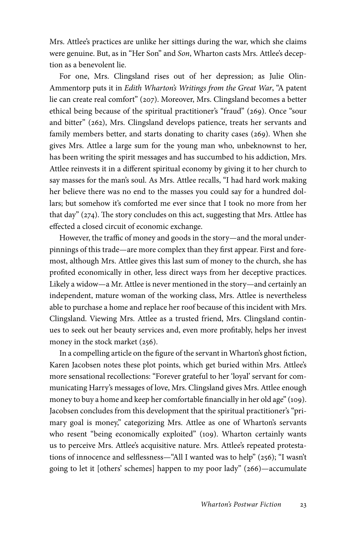Mrs. Attlee's practices are unlike her sittings during the war, which she claims were genuine. But, as in "Her Son" and *Son*, Wharton casts Mrs. Attlee's deception as a benevolent lie.

For one, Mrs. Clingsland rises out of her depression; as Julie Olin-Ammentorp puts it in *Edith Wharton's Writings from the Great War*, "A patent lie can create real comfort" (207). Moreover, Mrs. Clingsland becomes a better ethical being because of the spiritual practitioner's "fraud" (269). Once "sour and bitter" (262), Mrs. Clingsland develops patience, treats her servants and family members better, and starts donating to charity cases (269). When she gives Mrs. Attlee a large sum for the young man who, unbeknownst to her, has been writing the spirit messages and has succumbed to his addiction, Mrs. Attlee reinvests it in a different spiritual economy by giving it to her church to say masses for the man's soul. As Mrs. Attlee recalls, "I had hard work making her believe there was no end to the masses you could say for a hundred dollars; but somehow it's comforted me ever since that I took no more from her that day" (274). The story concludes on this act, suggesting that Mrs. Attlee has effected a closed circuit of economic exchange.

However, the traffic of money and goods in the story—and the moral underpinnings of this trade—are more complex than they first appear. First and foremost, although Mrs. Attlee gives this last sum of money to the church, she has profited economically in other, less direct ways from her deceptive practices. Likely a widow—a Mr. Attlee is never mentioned in the story—and certainly an independent, mature woman of the working class, Mrs. Attlee is nevertheless able to purchase a home and replace her roof because of this incident with Mrs. Clingsland. Viewing Mrs. Attlee as a trusted friend, Mrs. Clingsland continues to seek out her beauty services and, even more profitably, helps her invest money in the stock market (256).

In a compelling article on the figure of the servant in Wharton's ghost fiction, Karen Jacobsen notes these plot points, which get buried within Mrs. Attlee's more sensational recollections: "Forever grateful to her 'loyal' servant for communicating Harry's messages of love, Mrs. Clingsland gives Mrs. Attlee enough money to buy a home and keep her comfortable financially in her old age" (109). Jacobsen concludes from this development that the spiritual practitioner's "primary goal is money," categorizing Mrs. Attlee as one of Wharton's servants who resent "being economically exploited" (109). Wharton certainly wants us to perceive Mrs. Attlee's acquisitive nature. Mrs. Attlee's repeated protestations of innocence and selflessness—"All I wanted was to help" (256); "I wasn't going to let it [others' schemes] happen to my poor lady" (266)—accumulate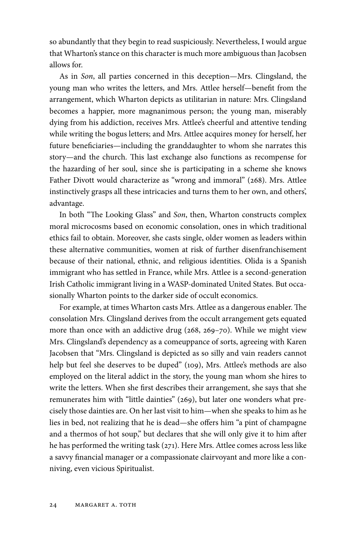so abundantly that they begin to read suspiciously. Nevertheless, I would argue that Wharton's stance on this character is much more ambiguous than Jacobsen allows for.

As in *Son*, all parties concerned in this deception—Mrs. Clingsland, the young man who writes the letters, and Mrs. Attlee herself—benefit from the arrangement, which Wharton depicts as utilitarian in nature: Mrs. Clingsland becomes a happier, more magnanimous person; the young man, miserably dying from his addiction, receives Mrs. Attlee's cheerful and attentive tending while writing the bogus letters; and Mrs. Attlee acquires money for herself, her future beneficiaries—including the granddaughter to whom she narrates this story—and the church. This last exchange also functions as recompense for the hazarding of her soul, since she is participating in a scheme she knows Father Divott would characterize as "wrong and immoral" (268). Mrs. Attlee instinctively grasps all these intricacies and turns them to her own, and others', advantage.

In both "The Looking Glass" and *Son*, then, Wharton constructs complex moral microcosms based on economic consolation, ones in which traditional ethics fail to obtain. Moreover, she casts single, older women as leaders within these alternative communities, women at risk of further disenfranchisement because of their national, ethnic, and religious identities. Olida is a Spanish immigrant who has settled in France, while Mrs. Attlee is a second-generation Irish Catholic immigrant living in a WASP-dominated United States. But occasionally Wharton points to the darker side of occult economics.

For example, at times Wharton casts Mrs. Attlee as a dangerous enabler. The consolation Mrs. Clingsland derives from the occult arrangement gets equated more than once with an addictive drug (268, 269–70). While we might view Mrs. Clingsland's dependency as a comeuppance of sorts, agreeing with Karen Jacobsen that "Mrs. Clingsland is depicted as so silly and vain readers cannot help but feel she deserves to be duped" (109), Mrs. Attlee's methods are also employed on the literal addict in the story, the young man whom she hires to write the letters. When she first describes their arrangement, she says that she remunerates him with "little dainties" (269), but later one wonders what precisely those dainties are. On her last visit to him—when she speaks to him as he lies in bed, not realizing that he is dead—she offers him "a pint of champagne and a thermos of hot soup," but declares that she will only give it to him after he has performed the writing task (271). Here Mrs. Attlee comes across less like a savvy financial manager or a compassionate clairvoyant and more like a conniving, even vicious Spiritualist.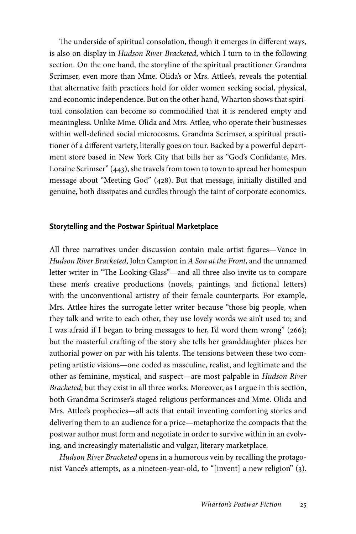The underside of spiritual consolation, though it emerges in different ways, is also on display in *Hudson River Bracketed*, which I turn to in the following section. On the one hand, the storyline of the spiritual practitioner Grandma Scrimser, even more than Mme. Olida's or Mrs. Attlee's, reveals the potential that alternative faith practices hold for older women seeking social, physical, and economic independence. But on the other hand, Wharton shows that spiritual consolation can become so commodified that it is rendered empty and meaningless. Unlike Mme. Olida and Mrs. Attlee, who operate their businesses within well-defined social microcosms, Grandma Scrimser, a spiritual practitioner of a different variety, literally goes on tour. Backed by a powerful department store based in New York City that bills her as "God's Confidante, Mrs. Loraine Scrimser" (443), she travels from town to town to spread her homespun message about "Meeting God" (428). But that message, initially distilled and genuine, both dissipates and curdles through the taint of corporate economics.

#### Storytelling and the Postwar Spiritual Marketplace

All three narratives under discussion contain male artist figures—Vance in *Hudson River Bracketed*, John Campton in *A Son at the Front*, and the unnamed letter writer in "The Looking Glass"—and all three also invite us to compare these men's creative productions (novels, paintings, and fictional letters) with the unconventional artistry of their female counterparts. For example, Mrs. Attlee hires the surrogate letter writer because "those big people, when they talk and write to each other, they use lovely words we ain't used to; and I was afraid if I began to bring messages to her, I'd word them wrong" (266); but the masterful crafting of the story she tells her granddaughter places her authorial power on par with his talents. The tensions between these two competing artistic visions—one coded as masculine, realist, and legitimate and the other as feminine, mystical, and suspect—are most palpable in *Hudson River Bracketed*, but they exist in all three works. Moreover, as I argue in this section, both Grandma Scrimser's staged religious performances and Mme. Olida and Mrs. Attlee's prophecies—all acts that entail inventing comforting stories and delivering them to an audience for a price—metaphorize the compacts that the postwar author must form and negotiate in order to survive within in an evolving, and increasingly materialistic and vulgar, literary marketplace.

*Hudson River Bracketed* opens in a humorous vein by recalling the protagonist Vance's attempts, as a nineteen-year-old, to "[invent] a new religion" (3).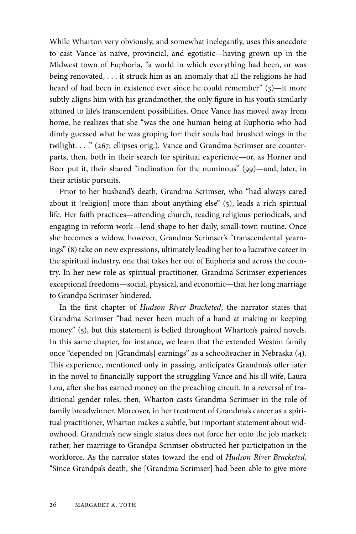While Wharton very obviously, and somewhat inelegantly, uses this anecdote to cast Vance as naïve, provincial, and egotistic—having grown up in the Midwest town of Euphoria, "a world in which everything had been, or was being renovated, . . . it struck him as an anomaly that all the religions he had heard of had been in existence ever since he could remember" (3)—it more subtly aligns him with his grandmother, the only figure in his youth similarly attuned to life's transcendent possibilities. Once Vance has moved away from home, he realizes that she "was the one human being at Euphoria who had dimly guessed what he was groping for: their souls had brushed wings in the twilight. . . ." (267; ellipses orig.). Vance and Grandma Scrimser are counterparts, then, both in their search for spiritual experience—or, as Horner and Beer put it, their shared "inclination for the numinous" (99)—and, later, in their artistic pursuits.

Prior to her husband's death, Grandma Scrimser, who "had always cared about it [religion] more than about anything else" (5), leads a rich spiritual life. Her faith practices—attending church, reading religious periodicals, and engaging in reform work—lend shape to her daily, small-town routine. Once she becomes a widow, however, Grandma Scrimser's "transcendental yearnings" (8) take on new expressions, ultimately leading her to a lucrative career in the spiritual industry, one that takes her out of Euphoria and across the country. In her new role as spiritual practitioner, Grandma Scrimser experiences exceptional freedoms—social, physical, and economic—that her long marriage to Grandpa Scrimser hindered.

In the first chapter of *Hudson River Bracketed*, the narrator states that Grandma Scrimser "had never been much of a hand at making or keeping money" (5), but this statement is belied throughout Wharton's paired novels. In this same chapter, for instance, we learn that the extended Weston family once "depended on [Grandma's] earnings" as a schoolteacher in Nebraska (4). This experience, mentioned only in passing, anticipates Grandma's offer later in the novel to financially support the struggling Vance and his ill wife, Laura Lou, after she has earned money on the preaching circuit. In a reversal of traditional gender roles, then, Wharton casts Grandma Scrimser in the role of family breadwinner. Moreover, in her treatment of Grandma's career as a spiritual practitioner, Wharton makes a subtle, but important statement about widowhood. Grandma's new single status does not force her onto the job market; rather, her marriage to Grandpa Scrimser obstructed her participation in the workforce. As the narrator states toward the end of *Hudson River Bracketed*, "Since Grandpa's death, she [Grandma Scrimser] had been able to give more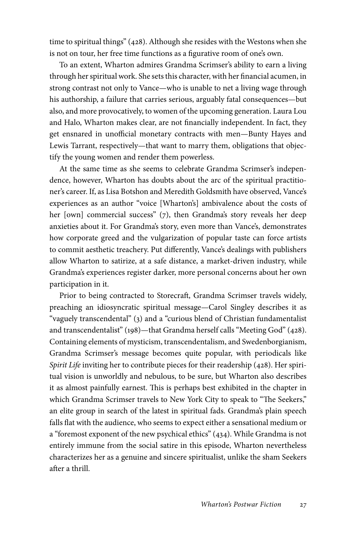time to spiritual things" (428). Although she resides with the Westons when she is not on tour, her free time functions as a figurative room of one's own.

To an extent, Wharton admires Grandma Scrimser's ability to earn a living through her spiritual work. She sets this character, with her financial acumen, in strong contrast not only to Vance—who is unable to net a living wage through his authorship, a failure that carries serious, arguably fatal consequences—but also, and more provocatively, to women of the upcoming generation. Laura Lou and Halo, Wharton makes clear, are not financially independent. In fact, they get ensnared in unofficial monetary contracts with men—Bunty Hayes and Lewis Tarrant, respectively—that want to marry them, obligations that objectify the young women and render them powerless.

At the same time as she seems to celebrate Grandma Scrimser's independence, however, Wharton has doubts about the arc of the spiritual practitioner's career. If, as Lisa Botshon and Meredith Goldsmith have observed, Vance's experiences as an author "voice [Wharton's] ambivalence about the costs of her [own] commercial success" (7), then Grandma's story reveals her deep anxieties about it. For Grandma's story, even more than Vance's, demonstrates how corporate greed and the vulgarization of popular taste can force artists to commit aesthetic treachery. Put differently, Vance's dealings with publishers allow Wharton to satirize, at a safe distance, a market-driven industry, while Grandma's experiences register darker, more personal concerns about her own participation in it.

Prior to being contracted to Storecraft, Grandma Scrimser travels widely, preaching an idiosyncratic spiritual message—Carol Singley describes it as "vaguely transcendental" (3) and a "curious blend of Christian fundamentalist and transcendentalist" (198)—that Grandma herself calls "Meeting God" (428). Containing elements of mysticism, transcendentalism, and Swedenborgianism, Grandma Scrimser's message becomes quite popular, with periodicals like *Spirit Life* inviting her to contribute pieces for their readership (428). Her spiritual vision is unworldly and nebulous, to be sure, but Wharton also describes it as almost painfully earnest. This is perhaps best exhibited in the chapter in which Grandma Scrimser travels to New York City to speak to "The Seekers," an elite group in search of the latest in spiritual fads. Grandma's plain speech falls flat with the audience, who seems to expect either a sensational medium or a "foremost exponent of the new psychical ethics" (434). While Grandma is not entirely immune from the social satire in this episode, Wharton nevertheless characterizes her as a genuine and sincere spiritualist, unlike the sham Seekers after a thrill.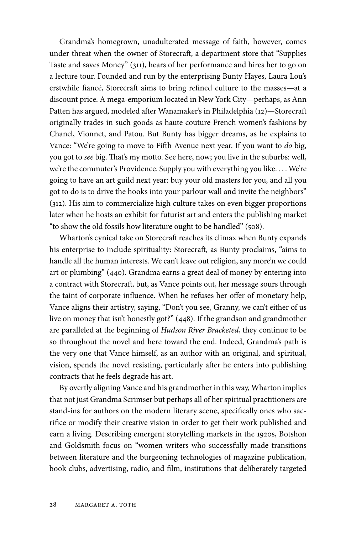Grandma's homegrown, unadulterated message of faith, however, comes under threat when the owner of Storecraft, a department store that "Supplies Taste and saves Money" (311), hears of her performance and hires her to go on a lecture tour. Founded and run by the enterprising Bunty Hayes, Laura Lou's erstwhile fiancé, Storecraft aims to bring refined culture to the masses—at a discount price. A mega-emporium located in New York City—perhaps, as Ann Patten has argued, modeled after Wanamaker's in Philadelphia (12)—Storecraft originally trades in such goods as haute couture French women's fashions by Chanel, Vionnet, and Patou. But Bunty has bigger dreams, as he explains to Vance: "We're going to move to Fifth Avenue next year. If you want to *do* big, you got to *see* big. That's my motto. See here, now; you live in the suburbs: well, we're the commuter's Providence. Supply you with everything you like. . . . We're going to have an art guild next year: buy your old masters for you, and all you got to do is to drive the hooks into your parlour wall and invite the neighbors" (312). His aim to commercialize high culture takes on even bigger proportions later when he hosts an exhibit for futurist art and enters the publishing market "to show the old fossils how literature ought to be handled" (508).

Wharton's cynical take on Storecraft reaches its climax when Bunty expands his enterprise to include spirituality: Storecraft, as Bunty proclaims, "aims to handle all the human interests. We can't leave out religion, any more'n we could art or plumbing" (440). Grandma earns a great deal of money by entering into a contract with Storecraft, but, as Vance points out, her message sours through the taint of corporate influence. When he refuses her offer of monetary help, Vance aligns their artistry, saying, "Don't you see, Granny, we can't either of us live on money that isn't honestly got?" (448). If the grandson and grandmother are paralleled at the beginning of *Hudson River Bracketed*, they continue to be so throughout the novel and here toward the end. Indeed, Grandma's path is the very one that Vance himself, as an author with an original, and spiritual, vision, spends the novel resisting, particularly after he enters into publishing contracts that he feels degrade his art.

By overtly aligning Vance and his grandmother in this way, Wharton implies that not just Grandma Scrimser but perhaps all of her spiritual practitioners are stand-ins for authors on the modern literary scene, specifically ones who sacrifice or modify their creative vision in order to get their work published and earn a living. Describing emergent storytelling markets in the 1920s, Botshon and Goldsmith focus on "women writers who successfully made transitions between literature and the burgeoning technologies of magazine publication, book clubs, advertising, radio, and film, institutions that deliberately targeted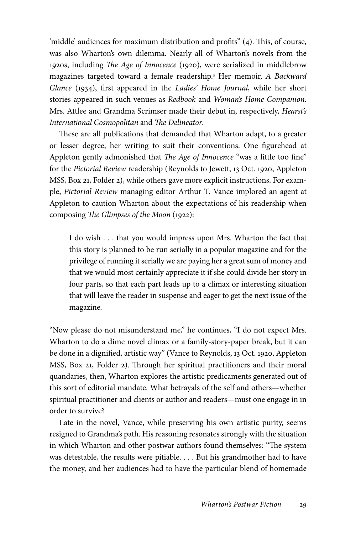'middle' audiences for maximum distribution and profits" (4). This, of course, was also Wharton's own dilemma. Nearly all of Wharton's novels from the 1920s, including *The Age of Innocence* (1920), were serialized in middlebrow magazines targeted toward a female readership.3 Her memoir, *A Backward Glance* (1934), first appeared in the *Ladies' Home Journal*, while her short stories appeared in such venues as *Redbook* and *Woman's Home Companion*. Mrs. Attlee and Grandma Scrimser made their debut in, respectively, *Hearst's International Cosmopolitan* and *The Delineator*.

These are all publications that demanded that Wharton adapt, to a greater or lesser degree, her writing to suit their conventions. One figurehead at Appleton gently admonished that *The Age of Innocence* "was a little too fine" for the *Pictorial Review* readership (Reynolds to Jewett, 13 Oct. 1920, Appleton MSS, Box 21, Folder 2), while others gave more explicit instructions. For example, *Pictorial Review* managing editor Arthur T. Vance implored an agent at Appleton to caution Wharton about the expectations of his readership when composing *The Glimpses of the Moon* (1922):

I do wish . . . that you would impress upon Mrs. Wharton the fact that this story is planned to be run serially in a popular magazine and for the privilege of running it serially we are paying her a great sum of money and that we would most certainly appreciate it if she could divide her story in four parts, so that each part leads up to a climax or interesting situation that will leave the reader in suspense and eager to get the next issue of the magazine.

"Now please do not misunderstand me," he continues, "I do not expect Mrs. Wharton to do a dime novel climax or a family-story-paper break, but it can be done in a dignified, artistic way" (Vance to Reynolds, 13 Oct. 1920, Appleton MSS, Box 21, Folder 2). Through her spiritual practitioners and their moral quandaries, then, Wharton explores the artistic predicaments generated out of this sort of editorial mandate. What betrayals of the self and others—whether spiritual practitioner and clients or author and readers—must one engage in in order to survive?

Late in the novel, Vance, while preserving his own artistic purity, seems resigned to Grandma's path. His reasoning resonates strongly with the situation in which Wharton and other postwar authors found themselves: "The system was detestable, the results were pitiable. . . . But his grandmother had to have the money, and her audiences had to have the particular blend of homemade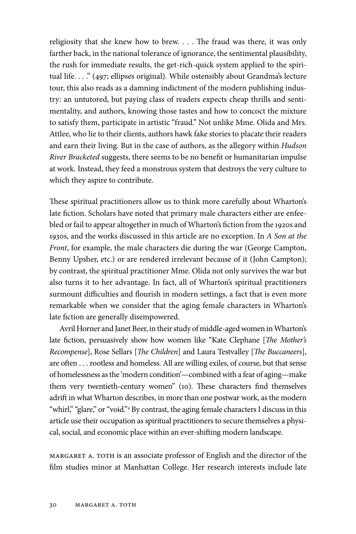religiosity that she knew how to brew. . . . The fraud was there, it was only farther back, in the national tolerance of ignorance, the sentimental plausibility, the rush for immediate results, the get-rich-quick system applied to the spiritual life. . . ." (497; ellipses original). While ostensibly about Grandma's lecture tour, this also reads as a damning indictment of the modern publishing industry: an untutored, but paying class of readers expects cheap thrills and sentimentality, and authors, knowing those tastes and how to concoct the mixture to satisfy them, participate in artistic "fraud." Not unlike Mme. Olida and Mrs. Attlee, who lie to their clients, authors hawk fake stories to placate their readers and earn their living. But in the case of authors, as the allegory within *Hudson River Bracketed* suggests, there seems to be no benefit or humanitarian impulse at work. Instead, they feed a monstrous system that destroys the very culture to which they aspire to contribute.

These spiritual practitioners allow us to think more carefully about Wharton's late fiction. Scholars have noted that primary male characters either are enfeebled or fail to appear altogether in much of Wharton's fiction from the 1920s and 1930s, and the works discussed in this article are no exception. In *A Son at the Front*, for example, the male characters die during the war (George Campton, Benny Upsher, etc.) or are rendered irrelevant because of it (John Campton); by contrast, the spiritual practitioner Mme. Olida not only survives the war but also turns it to her advantage. In fact, all of Wharton's spiritual practitioners surmount difficulties and flourish in modern settings, a fact that is even more remarkable when we consider that the aging female characters in Wharton's late fiction are generally disempowered.

Avril Horner and Janet Beer, in their study of middle-aged women in Wharton's late fiction, persuasively show how women like "Kate Clephane [*The Mother's Recompense*], Rose Sellars [*The Children*] and Laura Testvalley [*The Buccaneers*], are often . . . rootless and homeless. All are willing exiles, of course, but that sense of homelessness as the 'modern condition'—combined with a fear of aging—make them very twentieth-century women" (10). These characters find themselves adrift in what Wharton describes, in more than one postwar work, as the modern "whirl," "glare," or "void."<sup>4</sup> By contrast, the aging female characters I discuss in this article use their occupation as spiritual practitioners to secure themselves a physical, social, and economic place within an ever-shifting modern landscape.

Margaret A. Toth is an associate professor of English and the director of the film studies minor at Manhattan College. Her research interests include late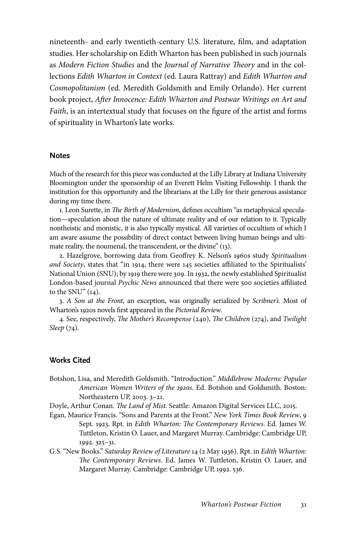nineteenth- and early twentieth-century U.S. literature, film, and adaptation studies. Her scholarship on Edith Wharton has been published in such journals as *Modern Fiction Studies* and the *Journal of Narrative Theory* and in the collections *Edith Wharton in Context* (ed. Laura Rattray) and *Edith Wharton and Cosmopolitanism* (ed. Meredith Goldsmith and Emily Orlando). Her current book project, *After Innocence: Edith Wharton and Postwar Writings on Art and Faith*, is an intertextual study that focuses on the figure of the artist and forms of spirituality in Wharton's late works.

### **Notes**

Much of the research for this piece was conducted at the Lilly Library at Indiana University Bloomington under the sponsorship of an Everett Helm Visiting Fellowship. I thank the institution for this opportunity and the librarians at the Lilly for their generous assistance during my time there.

1. Leon Surette, in *The Birth of Modernism*, defines occultism "as metaphysical speculation—speculation about the nature of ultimate reality and of our relation to it. Typically nontheistic and monistic, it is also typically mystical. All varieties of occultism of which I am aware assume the possibility of direct contact between living human beings and ultimate reality, the noumenal, the transcendent, or the divine" (13).

2. Hazelgrove, borrowing data from Geoffrey K. Nelson's 1960s study *Spiritualism and Society*, states that "in 1914, there were 145 societies affiliated to the Spiritualists' National Union (SNU); by 1919 there were 309. In 1932, the newly established Spiritualist London-based journal *Psychic News* announced that there were 500 societies affiliated to the SNU" (14).

3. *A Son at the Front*, an exception, was originally serialized by *Scribner's*. Most of Wharton's 1920s novels first appeared in the *Pictorial Review*.

4. See, respectively, *The Mother's Recompense* (240), *The Children* (274), and *Twilight Sleep* (74).

# Works Cited

Botshon, Lisa, and Meredith Goldsmith. "Introduction." *Middlebrow Moderns: Popular American Women Writers of the 1920s*. Ed. Botshon and Goldsmith. Boston: Northeastern UP, 2003. 3–21.

Doyle, Arthur Conan. *The Land of Mist*. Seattle: Amazon Digital Services LLC, 2015.

- Egan, Maurice Francis. "Sons and Parents at the Front." *New York Times Book Review*, 9 Sept. 1923. Rpt. in *Edith Wharton: The Contemporary Reviews*. Ed. James W. Tuttleton, Kristin O. Lauer, and Margaret Murray. Cambridge: Cambridge UP, 1992. 325–31.
- G.S. "New Books." *Saturday Review of Literature* 14 (2 May 1936). Rpt. in *Edith Wharton: The Contemporary Reviews*. Ed. James W. Tuttleton, Kristin O. Lauer, and Margaret Murray. Cambridge: Cambridge UP, 1992. 536.